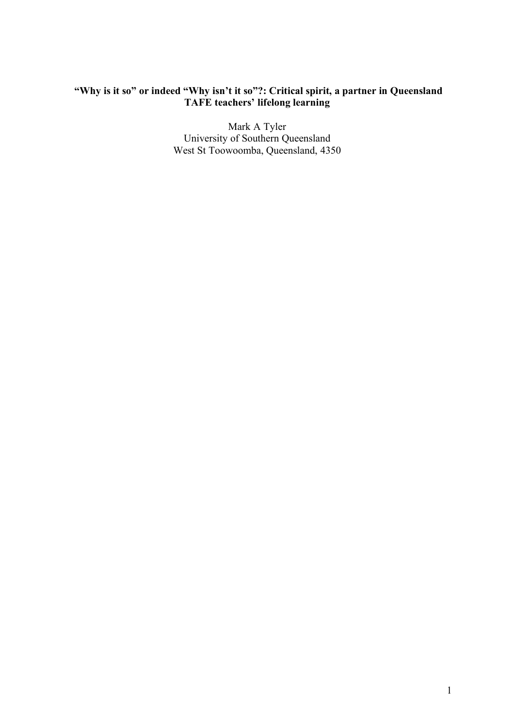### **"Why is it so" or indeed "Why isn't it so"?: Critical spirit, a partner in Queensland TAFE teachers' lifelong learning**

Mark A Tyler University of Southern Queensland West St Toowoomba, Queensland, 4350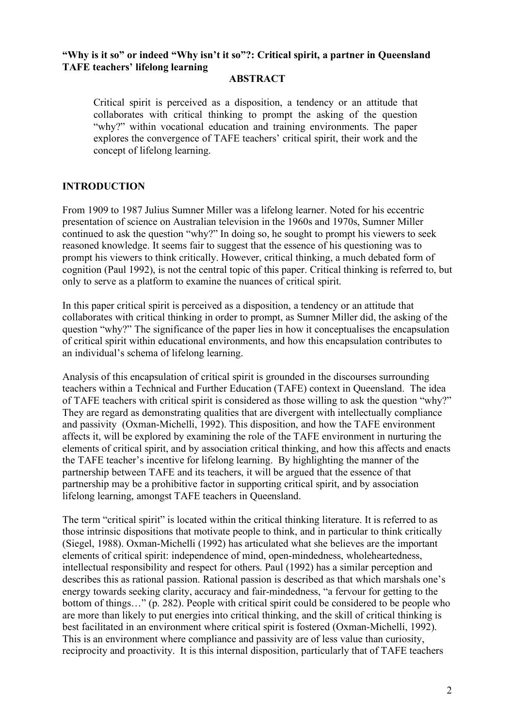# **"Why is it so" or indeed "Why isn't it so"?: Critical spirit, a partner in Queensland TAFE teachers' lifelong learning**

#### **ABSTRACT**

Critical spirit is perceived as a disposition, a tendency or an attitude that collaborates with critical thinking to prompt the asking of the question "why?" within vocational education and training environments. The paper explores the convergence of TAFE teachers' critical spirit, their work and the concept of lifelong learning.

### **INTRODUCTION**

From 1909 to 1987 Julius Sumner Miller was a lifelong learner. Noted for his eccentric presentation of science on Australian television in the 1960s and 1970s, Sumner Miller continued to ask the question "why?" In doing so, he sought to prompt his viewers to seek reasoned knowledge. It seems fair to suggest that the essence of his questioning was to prompt his viewers to think critically. However, critical thinking, a much debated form of cognition (Paul 1992), is not the central topic of this paper. Critical thinking is referred to, but only to serve as a platform to examine the nuances of critical spirit.

In this paper critical spirit is perceived as a disposition, a tendency or an attitude that collaborates with critical thinking in order to prompt, as Sumner Miller did, the asking of the question "why?" The significance of the paper lies in how it conceptualises the encapsulation of critical spirit within educational environments, and how this encapsulation contributes to an individual's schema of lifelong learning.

Analysis of this encapsulation of critical spirit is grounded in the discourses surrounding teachers within a Technical and Further Education (TAFE) context in Queensland. The idea of TAFE teachers with critical spirit is considered as those willing to ask the question "why?" They are regard as demonstrating qualities that are divergent with intellectually compliance and passivity (Oxman-Michelli, 1992). This disposition, and how the TAFE environment affects it, will be explored by examining the role of the TAFE environment in nurturing the elements of critical spirit, and by association critical thinking, and how this affects and enacts the TAFE teacher's incentive for lifelong learning. By highlighting the manner of the partnership between TAFE and its teachers, it will be argued that the essence of that partnership may be a prohibitive factor in supporting critical spirit, and by association lifelong learning, amongst TAFE teachers in Queensland.

The term "critical spirit" is located within the critical thinking literature. It is referred to as those intrinsic dispositions that motivate people to think, and in particular to think critically (Siegel, 1988). Oxman-Michelli (1992) has articulated what she believes are the important elements of critical spirit: independence of mind, open-mindedness, wholeheartedness, intellectual responsibility and respect for others. Paul (1992) has a similar perception and describes this as rational passion. Rational passion is described as that which marshals one's energy towards seeking clarity, accuracy and fair-mindedness, "a fervour for getting to the bottom of things…" (p. 282). People with critical spirit could be considered to be people who are more than likely to put energies into critical thinking, and the skill of critical thinking is best facilitated in an environment where critical spirit is fostered (Oxman-Michelli, 1992). This is an environment where compliance and passivity are of less value than curiosity, reciprocity and proactivity. It is this internal disposition, particularly that of TAFE teachers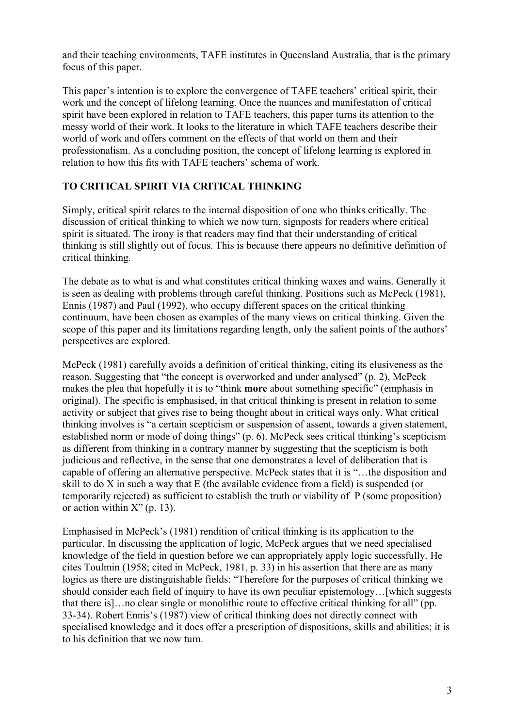and their teaching environments, TAFE institutes in Queensland Australia, that is the primary focus of this paper.

This paper's intention is to explore the convergence of TAFE teachers' critical spirit, their work and the concept of lifelong learning. Once the nuances and manifestation of critical spirit have been explored in relation to TAFE teachers, this paper turns its attention to the messy world of their work. It looks to the literature in which TAFE teachers describe their world of work and offers comment on the effects of that world on them and their professionalism. As a concluding position, the concept of lifelong learning is explored in relation to how this fits with TAFE teachers' schema of work.

# **TO CRITICAL SPIRIT VIA CRITICAL THINKING**

Simply, critical spirit relates to the internal disposition of one who thinks critically. The discussion of critical thinking to which we now turn, signposts for readers where critical spirit is situated. The irony is that readers may find that their understanding of critical thinking is still slightly out of focus. This is because there appears no definitive definition of critical thinking.

The debate as to what is and what constitutes critical thinking waxes and wains. Generally it is seen as dealing with problems through careful thinking. Positions such as McPeck (1981), Ennis (1987) and Paul (1992), who occupy different spaces on the critical thinking continuum, have been chosen as examples of the many views on critical thinking. Given the scope of this paper and its limitations regarding length, only the salient points of the authors' perspectives are explored.

McPeck (1981) carefully avoids a definition of critical thinking, citing its elusiveness as the reason. Suggesting that "the concept is overworked and under analysed" (p. 2), McPeck makes the plea that hopefully it is to "think **more** about something specific" (emphasis in original). The specific is emphasised, in that critical thinking is present in relation to some activity or subject that gives rise to being thought about in critical ways only. What critical thinking involves is "a certain scepticism or suspension of assent, towards a given statement, established norm or mode of doing things" (p. 6). McPeck sees critical thinking's scepticism as different from thinking in a contrary manner by suggesting that the scepticism is both judicious and reflective, in the sense that one demonstrates a level of deliberation that is capable of offering an alternative perspective. McPeck states that it is "…the disposition and skill to do X in such a way that E (the available evidence from a field) is suspended (or temporarily rejected) as sufficient to establish the truth or viability of P (some proposition) or action within  $X''(p. 13)$ .

Emphasised in McPeck's (1981) rendition of critical thinking is its application to the particular. In discussing the application of logic, McPeck argues that we need specialised knowledge of the field in question before we can appropriately apply logic successfully. He cites Toulmin (1958; cited in McPeck, 1981, p. 33) in his assertion that there are as many logics as there are distinguishable fields: "Therefore for the purposes of critical thinking we should consider each field of inquiry to have its own peculiar epistemology…[which suggests that there is]…no clear single or monolithic route to effective critical thinking for all" (pp. 33-34). Robert Ennis's (1987) view of critical thinking does not directly connect with specialised knowledge and it does offer a prescription of dispositions, skills and abilities; it is to his definition that we now turn.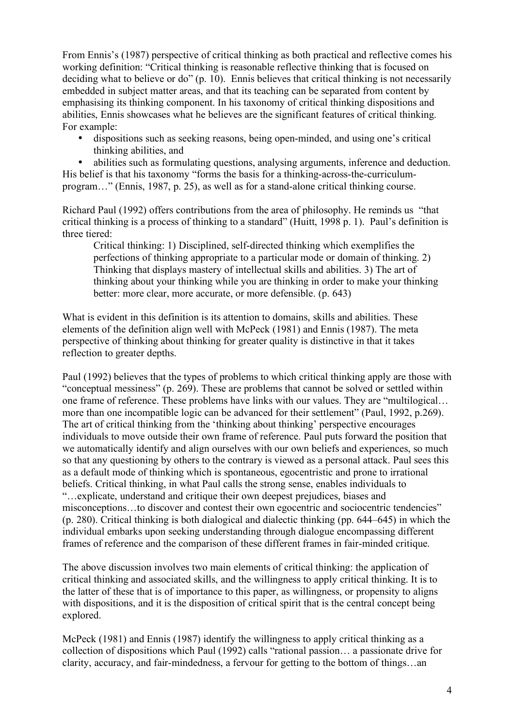From Ennis's (1987) perspective of critical thinking as both practical and reflective comes his working definition: "Critical thinking is reasonable reflective thinking that is focused on deciding what to believe or do" (p. 10). Ennis believes that critical thinking is not necessarily embedded in subject matter areas, and that its teaching can be separated from content by emphasising its thinking component. In his taxonomy of critical thinking dispositions and abilities, Ennis showcases what he believes are the significant features of critical thinking. For example:

• dispositions such as seeking reasons, being open-minded, and using one's critical thinking abilities, and

• abilities such as formulating questions, analysing arguments, inference and deduction. His belief is that his taxonomy "forms the basis for a thinking-across-the-curriculumprogram…" (Ennis, 1987, p. 25), as well as for a stand-alone critical thinking course.

Richard Paul (1992) offers contributions from the area of philosophy. He reminds us "that critical thinking is a process of thinking to a standard" (Huitt, 1998 p. 1). Paul's definition is three tiered:

Critical thinking: 1) Disciplined, self-directed thinking which exemplifies the perfections of thinking appropriate to a particular mode or domain of thinking. 2) Thinking that displays mastery of intellectual skills and abilities. 3) The art of thinking about your thinking while you are thinking in order to make your thinking better: more clear, more accurate, or more defensible. (p. 643)

What is evident in this definition is its attention to domains, skills and abilities. These elements of the definition align well with McPeck (1981) and Ennis (1987). The meta perspective of thinking about thinking for greater quality is distinctive in that it takes reflection to greater depths.

Paul (1992) believes that the types of problems to which critical thinking apply are those with "conceptual messiness" (p. 269). These are problems that cannot be solved or settled within one frame of reference. These problems have links with our values. They are "multilogical… more than one incompatible logic can be advanced for their settlement" (Paul, 1992, p.269). The art of critical thinking from the 'thinking about thinking' perspective encourages individuals to move outside their own frame of reference. Paul puts forward the position that we automatically identify and align ourselves with our own beliefs and experiences, so much so that any questioning by others to the contrary is viewed as a personal attack. Paul sees this as a default mode of thinking which is spontaneous, egocentristic and prone to irrational beliefs. Critical thinking, in what Paul calls the strong sense, enables individuals to "…explicate, understand and critique their own deepest prejudices, biases and misconceptions…to discover and contest their own egocentric and sociocentric tendencies" (p. 280). Critical thinking is both dialogical and dialectic thinking (pp. 644–645) in which the individual embarks upon seeking understanding through dialogue encompassing different frames of reference and the comparison of these different frames in fair-minded critique.

The above discussion involves two main elements of critical thinking: the application of critical thinking and associated skills, and the willingness to apply critical thinking. It is to the latter of these that is of importance to this paper, as willingness, or propensity to aligns with dispositions, and it is the disposition of critical spirit that is the central concept being explored.

McPeck (1981) and Ennis (1987) identify the willingness to apply critical thinking as a collection of dispositions which Paul (1992) calls "rational passion… a passionate drive for clarity, accuracy, and fair-mindedness, a fervour for getting to the bottom of things…an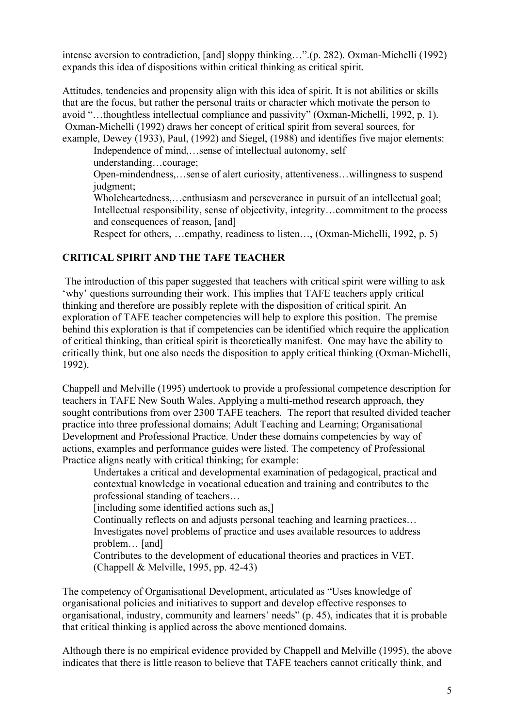intense aversion to contradiction, [and] sloppy thinking…".(p. 282). Oxman-Michelli (1992) expands this idea of dispositions within critical thinking as critical spirit.

Attitudes, tendencies and propensity align with this idea of spirit. It is not abilities or skills that are the focus, but rather the personal traits or character which motivate the person to avoid "…thoughtless intellectual compliance and passivity" (Oxman-Michelli, 1992, p. 1). Oxman-Michelli (1992) draws her concept of critical spirit from several sources, for example, Dewey (1933), Paul, (1992) and Siegel, (1988) and identifies five major elements:

Independence of mind,…sense of intellectual autonomy, self understanding…courage;

Open-mindendness,…sense of alert curiosity, attentiveness…willingness to suspend judgment:

Wholeheartedness,…enthusiasm and perseverance in pursuit of an intellectual goal; Intellectual responsibility, sense of objectivity, integrity…commitment to the process and consequences of reason, [and]

Respect for others, …empathy, readiness to listen…, (Oxman-Michelli, 1992, p. 5)

## **CRITICAL SPIRIT AND THE TAFE TEACHER**

The introduction of this paper suggested that teachers with critical spirit were willing to ask 'why' questions surrounding their work. This implies that TAFE teachers apply critical thinking and therefore are possibly replete with the disposition of critical spirit. An exploration of TAFE teacher competencies will help to explore this position. The premise behind this exploration is that if competencies can be identified which require the application of critical thinking, than critical spirit is theoretically manifest. One may have the ability to critically think, but one also needs the disposition to apply critical thinking (Oxman-Michelli, 1992).

Chappell and Melville (1995) undertook to provide a professional competence description for teachers in TAFE New South Wales. Applying a multi-method research approach, they sought contributions from over 2300 TAFE teachers. The report that resulted divided teacher practice into three professional domains; Adult Teaching and Learning; Organisational Development and Professional Practice. Under these domains competencies by way of actions, examples and performance guides were listed. The competency of Professional Practice aligns neatly with critical thinking; for example:

Undertakes a critical and developmental examination of pedagogical, practical and contextual knowledge in vocational education and training and contributes to the professional standing of teachers…

[including some identified actions such as,]

Continually reflects on and adjusts personal teaching and learning practices… Investigates novel problems of practice and uses available resources to address problem… [and]

Contributes to the development of educational theories and practices in VET. (Chappell & Melville, 1995, pp. 42-43)

The competency of Organisational Development, articulated as "Uses knowledge of organisational policies and initiatives to support and develop effective responses to organisational, industry, community and learners' needs" (p. 45), indicates that it is probable that critical thinking is applied across the above mentioned domains.

Although there is no empirical evidence provided by Chappell and Melville (1995), the above indicates that there is little reason to believe that TAFE teachers cannot critically think, and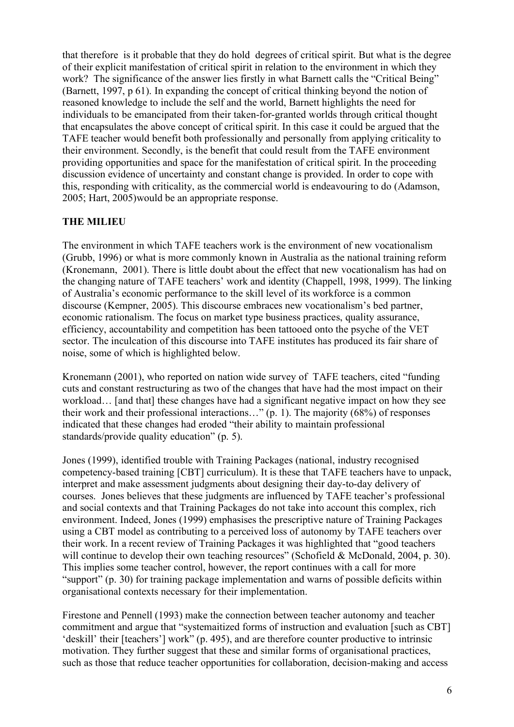that therefore is it probable that they do hold degrees of critical spirit. But what is the degree of their explicit manifestation of critical spirit in relation to the environment in which they work? The significance of the answer lies firstly in what Barnett calls the "Critical Being" (Barnett, 1997, p 61). In expanding the concept of critical thinking beyond the notion of reasoned knowledge to include the self and the world, Barnett highlights the need for individuals to be emancipated from their taken-for-granted worlds through critical thought that encapsulates the above concept of critical spirit. In this case it could be argued that the TAFE teacher would benefit both professionally and personally from applying criticality to their environment. Secondly, is the benefit that could result from the TAFE environment providing opportunities and space for the manifestation of critical spirit. In the proceeding discussion evidence of uncertainty and constant change is provided. In order to cope with this, responding with criticality, as the commercial world is endeavouring to do (Adamson, 2005; Hart, 2005)would be an appropriate response.

## **THE MILIEU**

The environment in which TAFE teachers work is the environment of new vocationalism (Grubb, 1996) or what is more commonly known in Australia as the national training reform (Kronemann, 2001). There is little doubt about the effect that new vocationalism has had on the changing nature of TAFE teachers' work and identity (Chappell, 1998, 1999). The linking of Australia's economic performance to the skill level of its workforce is a common discourse (Kempner, 2005). This discourse embraces new vocationalism's bed partner, economic rationalism. The focus on market type business practices, quality assurance, efficiency, accountability and competition has been tattooed onto the psyche of the VET sector. The inculcation of this discourse into TAFE institutes has produced its fair share of noise, some of which is highlighted below.

Kronemann (2001), who reported on nation wide survey of TAFE teachers, cited "funding cuts and constant restructuring as two of the changes that have had the most impact on their workload… [and that] these changes have had a significant negative impact on how they see their work and their professional interactions…" (p. 1). The majority (68%) of responses indicated that these changes had eroded "their ability to maintain professional standards/provide quality education" (p. 5).

Jones (1999), identified trouble with Training Packages (national, industry recognised competency-based training [CBT] curriculum). It is these that TAFE teachers have to unpack, interpret and make assessment judgments about designing their day-to-day delivery of courses. Jones believes that these judgments are influenced by TAFE teacher's professional and social contexts and that Training Packages do not take into account this complex, rich environment. Indeed, Jones (1999) emphasises the prescriptive nature of Training Packages using a CBT model as contributing to a perceived loss of autonomy by TAFE teachers over their work. In a recent review of Training Packages it was highlighted that "good teachers will continue to develop their own teaching resources" (Schofield & McDonald, 2004, p. 30). This implies some teacher control, however, the report continues with a call for more "support" (p. 30) for training package implementation and warns of possible deficits within organisational contexts necessary for their implementation.

Firestone and Pennell (1993) make the connection between teacher autonomy and teacher commitment and argue that "systemaitized forms of instruction and evaluation [such as CBT] 'deskill' their [teachers'] work" (p. 495), and are therefore counter productive to intrinsic motivation. They further suggest that these and similar forms of organisational practices, such as those that reduce teacher opportunities for collaboration, decision-making and access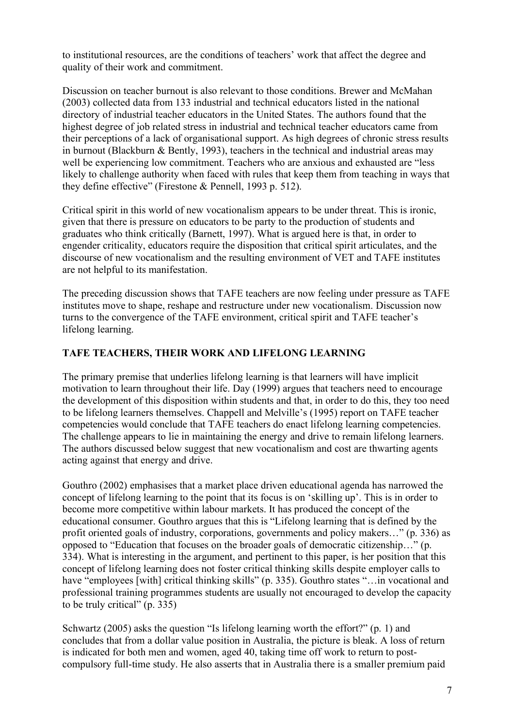to institutional resources, are the conditions of teachers' work that affect the degree and quality of their work and commitment.

Discussion on teacher burnout is also relevant to those conditions. Brewer and McMahan (2003) collected data from 133 industrial and technical educators listed in the national directory of industrial teacher educators in the United States. The authors found that the highest degree of job related stress in industrial and technical teacher educators came from their perceptions of a lack of organisational support. As high degrees of chronic stress results in burnout (Blackburn & Bently, 1993), teachers in the technical and industrial areas may well be experiencing low commitment. Teachers who are anxious and exhausted are "less likely to challenge authority when faced with rules that keep them from teaching in ways that they define effective" (Firestone & Pennell, 1993 p. 512).

Critical spirit in this world of new vocationalism appears to be under threat. This is ironic, given that there is pressure on educators to be party to the production of students and graduates who think critically (Barnett, 1997). What is argued here is that, in order to engender criticality, educators require the disposition that critical spirit articulates, and the discourse of new vocationalism and the resulting environment of VET and TAFE institutes are not helpful to its manifestation.

The preceding discussion shows that TAFE teachers are now feeling under pressure as TAFE institutes move to shape, reshape and restructure under new vocationalism. Discussion now turns to the convergence of the TAFE environment, critical spirit and TAFE teacher's lifelong learning.

# **TAFE TEACHERS, THEIR WORK AND LIFELONG LEARNING**

The primary premise that underlies lifelong learning is that learners will have implicit motivation to learn throughout their life. Day (1999) argues that teachers need to encourage the development of this disposition within students and that, in order to do this, they too need to be lifelong learners themselves. Chappell and Melville's (1995) report on TAFE teacher competencies would conclude that TAFE teachers do enact lifelong learning competencies. The challenge appears to lie in maintaining the energy and drive to remain lifelong learners. The authors discussed below suggest that new vocationalism and cost are thwarting agents acting against that energy and drive.

Gouthro (2002) emphasises that a market place driven educational agenda has narrowed the concept of lifelong learning to the point that its focus is on 'skilling up'. This is in order to become more competitive within labour markets. It has produced the concept of the educational consumer. Gouthro argues that this is "Lifelong learning that is defined by the profit oriented goals of industry, corporations, governments and policy makers…" (p. 336) as opposed to "Education that focuses on the broader goals of democratic citizenship…" (p. 334). What is interesting in the argument, and pertinent to this paper, is her position that this concept of lifelong learning does not foster critical thinking skills despite employer calls to have "employees [with] critical thinking skills" (p. 335). Gouthro states "... in vocational and professional training programmes students are usually not encouraged to develop the capacity to be truly critical" (p. 335)

Schwartz (2005) asks the question "Is lifelong learning worth the effort?" (p. 1) and concludes that from a dollar value position in Australia, the picture is bleak. A loss of return is indicated for both men and women, aged 40, taking time off work to return to postcompulsory full-time study. He also asserts that in Australia there is a smaller premium paid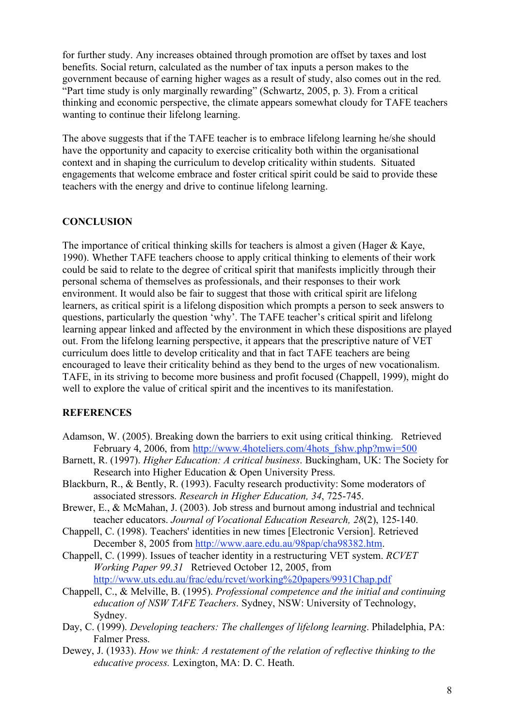for further study. Any increases obtained through promotion are offset by taxes and lost benefits. Social return, calculated as the number of tax inputs a person makes to the government because of earning higher wages as a result of study, also comes out in the red. "Part time study is only marginally rewarding" (Schwartz, 2005, p. 3). From a critical thinking and economic perspective, the climate appears somewhat cloudy for TAFE teachers wanting to continue their lifelong learning.

The above suggests that if the TAFE teacher is to embrace lifelong learning he/she should have the opportunity and capacity to exercise criticality both within the organisational context and in shaping the curriculum to develop criticality within students. Situated engagements that welcome embrace and foster critical spirit could be said to provide these teachers with the energy and drive to continue lifelong learning.

### **CONCLUSION**

The importance of critical thinking skills for teachers is almost a given (Hager & Kaye, 1990). Whether TAFE teachers choose to apply critical thinking to elements of their work could be said to relate to the degree of critical spirit that manifests implicitly through their personal schema of themselves as professionals, and their responses to their work environment. It would also be fair to suggest that those with critical spirit are lifelong learners, as critical spirit is a lifelong disposition which prompts a person to seek answers to questions, particularly the question 'why'. The TAFE teacher's critical spirit and lifelong learning appear linked and affected by the environment in which these dispositions are played out. From the lifelong learning perspective, it appears that the prescriptive nature of VET curriculum does little to develop criticality and that in fact TAFE teachers are being encouraged to leave their criticality behind as they bend to the urges of new vocationalism. TAFE, in its striving to become more business and profit focused (Chappell, 1999), might do well to explore the value of critical spirit and the incentives to its manifestation.

#### **REFERENCES**

- Adamson, W. (2005). Breaking down the barriers to exit using critical thinking. Retrieved February 4, 2006, from http://www.4hoteliers.com/4hots\_fshw.php?mwi=500
- Barnett, R. (1997). *Higher Education: A critical business*. Buckingham, UK: The Society for Research into Higher Education & Open University Press.
- Blackburn, R., & Bently, R. (1993). Faculty research productivity: Some moderators of associated stressors. *Research in Higher Education, 34*, 725-745.
- Brewer, E., & McMahan, J. (2003). Job stress and burnout among industrial and technical teacher educators. *Journal of Vocational Education Research, 28*(2), 125-140.
- Chappell, C. (1998). Teachers' identities in new times [Electronic Version]. Retrieved December 8, 2005 from http://www.aare.edu.au/98pap/cha98382.htm.
- Chappell, C. (1999). Issues of teacher identity in a restructuring VET system. *RCVET Working Paper 99.31* Retrieved October 12, 2005, from http://www.uts.edu.au/frac/edu/rcvet/working%20papers/9931Chap.pdf
- Chappell, C., & Melville, B. (1995). *Professional competence and the initial and continuing education of NSW TAFE Teachers*. Sydney, NSW: University of Technology, Sydney.
- Day, C. (1999). *Developing teachers: The challenges of lifelong learning*. Philadelphia, PA: Falmer Press.
- Dewey, J. (1933). *How we think: A restatement of the relation of reflective thinking to the educative process.* Lexington, MA: D. C. Heath.